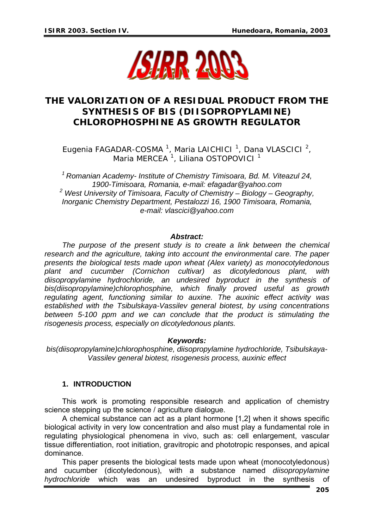

# **THE VALORIZATION OF A RESIDUAL PRODUCT FROM THE SYNTHESIS OF BIS (DIISOPROPYLAMINE) CHLOROPHOSPHINE AS GROWTH REGULATOR**

Eugenia FAGADAR-COSMA<sup>1</sup>, Maria LAICHICI<sup>1</sup>, Dana VLASCICI<sup>2</sup>, Maria MERCEA<sup>1</sup>, Liliana OSTOPOVICI<sup>1</sup>

*1 Romanian Academy- Institute of Chemistry Timisoara, Bd. M. Viteazul 24, 1900-Timisoara, Romania, e-mail: efagadar@yahoo.com 2 West University of Timisoara, Faculty of Chemistry – Biology – Geography, Inorganic Chemistry Department, Pestalozzi 16, 1900 Timisoara, Romania, e-mail: vlascici@yahoo.com*

#### *Abstract:*

*The purpose of the present study is to create a link between the chemical research and the agriculture, taking into account the environmental care. The paper presents the biological tests made upon wheat (Alex variety) as monocotyledonous plant and cucumber (Cornichon cultivar) as dicotyledonous plant, with diisopropylamine hydrochloride, an undesired byproduct in the synthesis of bis(diisopropylamine)chlorophosphine, which finally proved useful as growth regulating agent, functioning similar to auxine. The auxinic effect activity was established with the Tsibulskaya-Vassilev general biotest, by using concentrations between 5-100 ppm and we can conclude that the product is stimulating the risogenesis process, especially on dicotyledonous plants.* 

#### *Keywords:*

*bis(diisopropylamine)chlorophosphine, diisopropylamine hydrochloride, Tsibulskaya-Vassilev general biotest, risogenesis process, auxinic effect* 

### **1. INTRODUCTION**

This work is promoting responsible research and application of chemistry science stepping up the science / agriculture dialogue.

A chemical substance can act as a plant hormone [1,2] when it shows specific biological activity in very low concentration and also must play a fundamental role in regulating physiological phenomena in vivo, such as: cell enlargement, vascular tissue differentiation, root initiation, gravitropic and phototropic responses, and apical dominance.

This paper presents the biological tests made upon wheat (monocotyledonous) and cucumber (dicotyledonous), with a substance named *diisopropylamine hydrochloride* which was an undesired byproduct in the synthesis of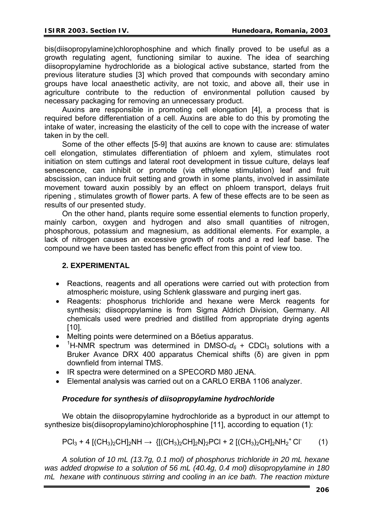bis(diisopropylamine)chlorophosphine and which finally proved to be useful as a growth regulating agent, functioning similar to auxine. The idea of searching diisopropylamine hydrochloride as a biological active substance, started from the previous literature studies [3] which proved that compounds with secondary amino groups have local anaesthetic activity, are not toxic, and above all, their use in agriculture contribute to the reduction of environmental pollution caused by necessary packaging for removing an unnecessary product.

Auxins are responsible in promoting cell elongation [4], a process that is required before differentiation of a cell. Auxins are able to do this by promoting the intake of water, increasing the elasticity of the cell to cope with the increase of water taken in by the cell.

Some of the other effects [5-9] that auxins are known to cause are: stimulates cell elongation, stimulates differentiation of phloem and xylem, stimulates root initiation on stem cuttings and lateral root development in tissue culture, delays leaf senescence, can inhibit or promote (via ethylene stimulation) leaf and fruit abscission, can induce fruit setting and growth in some plants, involved in assimilate movement toward auxin possibly by an effect on phloem transport, delays fruit ripening , stimulates growth of flower parts. A few of these effects are to be seen as results of our presented study.

On the other hand, plants require some essential elements to function properly, mainly carbon, oxygen and hydrogen and also small quantities of nitrogen, phosphorous, potassium and magnesium, as additional elements. For example, a lack of nitrogen causes an excessive growth of roots and a red leaf base. The compound we have been tasted has benefic effect from this point of view too.

## **2. EXPERIMENTAL**

- Reactions, reagents and all operations were carried out with protection from atmospheric moisture, using Schlenk glassware and purging inert gas.
- Reagents: phosphorus trichloride and hexane were Merck reagents for synthesis; diisopropylamine is from Sigma Aldrich Division, Germany. All chemicals used were predried and distilled from appropriate drying agents [10].
- Melting points were determined on a Bőetius apparatus.
- <sup>1</sup>H-NMR spectrum was determined in DMSO- $d_6$  + CDCl<sub>3</sub> solutions with a Bruker Avance DRX 400 apparatus Chemical shifts (δ) are given in ppm downfield from internal TMS.
- IR spectra were determined on a SPECORD M80 JENA.
- Elemental analysis was carried out on a CARLO ERBA 1106 analyzer.

### *Procedure for synthesis of diisopropylamine hydrochloride*

We obtain the diisopropylamine hydrochloride as a byproduct in our attempt to synthesize bis(diisopropylamino)chlorophosphine [11], according to equation (1):

$$
PCI_3 + 4 [(CH_3)_2 CH]_2 NH \rightarrow \{ [(CH_3)_2 CH]_2 N \}_2 PCl + 2 [(CH_3)_2 CH]_2 NH_2^+ Cl \qquad (1)
$$

*A solution of 10 mL (13.7g, 0.1 mol) of phosphorus trichloride in 20 mL hexane was added dropwise to a solution of 56 mL (40.4g, 0.4 mol) diisopropylamine in 180 mL hexane with continuous stirring and cooling in an ice bath. The reaction mixture*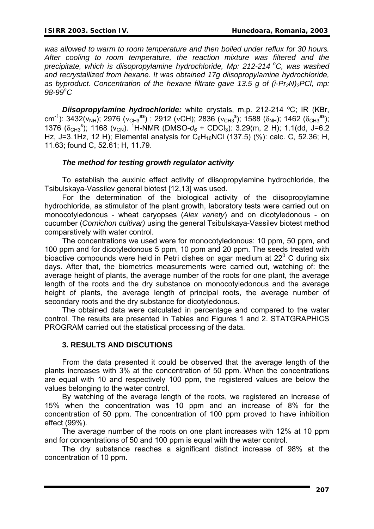*was allowed to warm to room temperature and then boiled under reflux for 30 hours. After cooling to room temperature, the reaction mixture was filtered and the precipitate, which is diisopropylamine hydrochloride, Mp: 212-214 °C, was washed and recrystallized from hexane. It was obtained 17g diisopropylamine hydrochloride, as byproduct. Concentration of the hexane filtrate gave 13.5 g of (i-Pr<sub>2</sub>N)<sub>2</sub>PCI, mp: 98-99<sup>o</sup> C* 

*Diisopropylamine hydrochloride:* white crystals, m.p. 212-214 ºC; IR (KBr, cm<sup>-1</sup>): 3432(v<sub>NH</sub>); 2976 ( $v_{CH3}^{as}$ ); 2912 ( $vCH$ ); 2836 ( $v_{CH3}^{s}$ ); 1588 ( $\delta_{NH}$ ); 1462 ( $\delta_{CH3}^{as}$ ); 1376 ( $\delta$ <sub>CH3</sub><sup>s</sup>); 1168 (v<sub>CN</sub>). <sup>1</sup>H-NMR (DMSO- $d_6$  + CDCl<sub>3</sub>): 3.29(m, 2 H); 1.1(dd, J=6.2 Hz, J=3.1Hz, 12 H); Elemental analysis for  $C_6H_{16}NCl$  (137.5) (%): calc. C, 52.36; H, 11.63; found C, 52.61; H, 11.79.

### *The method for testing growth regulator activity*

To establish the auxinic effect activity of diisopropylamine hydrochloride, the Tsibulskaya-Vassilev general biotest [12,13] was used.

For the determination of the biological activity of the diisopropylamine hydrochloride, as stimulator of the plant growth, laboratory tests were carried out on monocotyledonous - wheat caryopses (*Alex variety*) and on dicotyledonous - on cucumber (*Cornichon cultivar)* using the general Tsibulskaya-Vassilev biotest method comparatively with water control.

The concentrations we used were for monocotyledonous: 10 ppm, 50 ppm, and 100 ppm and for dicotyledonous 5 ppm, 10 ppm and 20 ppm. The seeds treated with bioactive compounds were held in Petri dishes on agar medium at  $22^{\circ}$  C during six days. After that, the biometrics measurements were carried out, watching of: the average height of plants, the average number of the roots for one plant, the average length of the roots and the dry substance on monocotyledonous and the average height of plants, the average length of principal roots, the average number of secondary roots and the dry substance for dicotyledonous.

The obtained data were calculated in percentage and compared to the water control. The results are presented in Tables and Figures 1 and 2. STATGRAPHICS PROGRAM carried out the statistical processing of the data.

### **3. RESULTS AND DISCUTIONS**

From the data presented it could be observed that the average length of the plants increases with 3% at the concentration of 50 ppm. When the concentrations are equal with 10 and respectively 100 ppm, the registered values are below the values belonging to the water control.

By watching of the average length of the roots, we registered an increase of 15% when the concentration was 10 ppm and an increase of 8% for the concentration of 50 ppm. The concentration of 100 ppm proved to have inhibition effect (99%).

The average number of the roots on one plant increases with 12% at 10 ppm and for concentrations of 50 and 100 ppm is equal with the water control.

The dry substance reaches a significant distinct increase of 98% at the concentration of 10 ppm.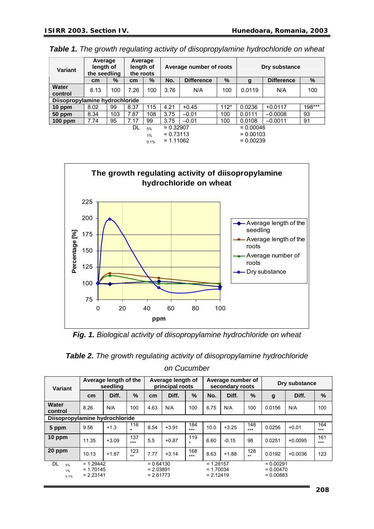| Variant                        | Average<br>length of<br>the seedling |      | Average<br>length of<br>the roots |      |             | Average number of roots |        | Dry substance |                   |        |  |
|--------------------------------|--------------------------------------|------|-----------------------------------|------|-------------|-------------------------|--------|---------------|-------------------|--------|--|
|                                | cm                                   | $\%$ | cm                                | $\%$ | No.         | <b>Difference</b>       | $\%$   | g             | <b>Difference</b> | %      |  |
| Water                          | 8.13                                 | 100  | 7.26                              | 100  | 3.76        | N/A                     | 100    | 0.0119        | N/A               | 100    |  |
| control                        |                                      |      |                                   |      |             |                         |        |               |                   |        |  |
| Diisopropylamine hydrochloride |                                      |      |                                   |      |             |                         |        |               |                   |        |  |
| $10$ ppm                       | 8.02                                 | 99   | 8.37                              | 115  | 4.21        | $+0.45$                 | $112*$ | 0.0236        | $+0.0117$         | 198*** |  |
| 50 ppm                         | 8.34                                 | 103  | 7.87                              | 108  | 3.75        | $-0.01$                 | 100    | 0.0111        | $-0.0008$         | 93     |  |
| 100 ppm                        | 7.74                                 | 95   | 7.17                              | 99   | 3.75        | $-0.01$                 | 100    | 0.0108        | $-0.0011$         | 91     |  |
|                                |                                      |      | DL                                | 5%   | $= 0.32907$ |                         |        | $= 0.00046$   |                   |        |  |
|                                |                                      |      |                                   | 1%   | $= 0.73113$ |                         |        | $= 0.00103$   |                   |        |  |
|                                |                                      |      |                                   | 0.1% | $= 1.11062$ |                         |        | $= 0.00239$   |                   |        |  |

*Table 1. The growth regulating activity of diisopropylamine hydrochloride on wheat*



*Fig. 1. Biological activity of diisopropylamine hydrochloride on wheat* 

| <b>Table 2.</b> The growth regulating activity of diisopropylamine hydrochloride |
|----------------------------------------------------------------------------------|
| on Cucumber                                                                      |

| Variant                        | Average length of the<br>seedling         |         |                | Average length of<br>principal roots      |         |                | Average number of<br>secondary roots      |         |              | Dry substance                             |           |              |
|--------------------------------|-------------------------------------------|---------|----------------|-------------------------------------------|---------|----------------|-------------------------------------------|---------|--------------|-------------------------------------------|-----------|--------------|
|                                | cm                                        | Diff.   | $\%$           | cm <sub>2</sub>                           | Diff.   | $\%$           | No.                                       | Diff.   | $\%$         | g                                         | Diff.     | $\%$         |
| Water<br>control               | 8.26                                      | N/A     | 100            | 4.63                                      | N/A     | 100            | 6.75                                      | N/A     | 100          | 0.0156                                    | N/A       | 100          |
| Diisopropylamine hydrochloride |                                           |         |                |                                           |         |                |                                           |         |              |                                           |           |              |
| 5 ppm                          | 9.56                                      | $+1.3$  | 116<br>$\star$ | 8.54                                      | $+3.91$ | 184<br>$***$   | 10.0                                      | $+3.25$ | 148<br>$***$ | 0.0256                                    | $+0.01$   | 164<br>$***$ |
| 10 ppm                         | 11.35                                     | $+3.09$ | 137<br>$***$   | 5.5                                       | $+0.87$ | 119<br>$\star$ | 6.60                                      | $-0.15$ | 98           | 0.0251                                    | $+0.0095$ | 161<br>$***$ |
| 20 ppm                         | 10.13                                     | $+1.87$ | 123<br>$***$   | 7.77                                      | $+3.14$ | 168<br>$***$   | 8.63                                      | $+1.88$ | 128<br>$***$ | 0.0192                                    | $+0.0036$ | 123          |
| <b>DL</b><br>5%<br>1%<br>0.1%  | $= 1.29442$<br>$= 1.70145$<br>$= 2.23141$ |         |                | $= 0.64130$<br>$= 2.03891$<br>$= 2.61773$ |         |                | $= 1.28157$<br>$= 1.70034$<br>$= 2.12419$ |         |              | $= 0.00291$<br>$= 0.00470$<br>$= 0.00883$ |           |              |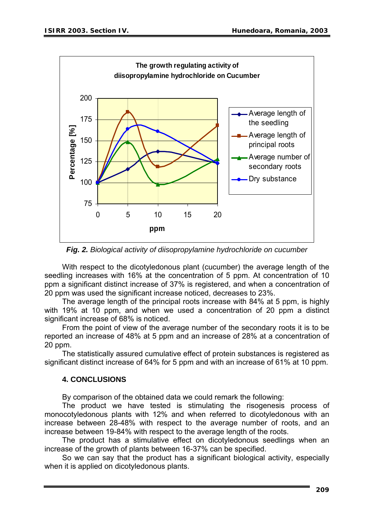

*Fig. 2. Biological activity of diisopropylamine hydrochloride on cucumber*

With respect to the dicotyledonous plant (cucumber) the average length of the seedling increases with 16% at the concentration of 5 ppm. At concentration of 10 ppm a significant distinct increase of 37% is registered, and when a concentration of 20 ppm was used the significant increase noticed, decreases to 23%.

The average length of the principal roots increase with 84% at 5 ppm, is highly with 19% at 10 ppm, and when we used a concentration of 20 ppm a distinct significant increase of 68% is noticed.

From the point of view of the average number of the secondary roots it is to be reported an increase of 48% at 5 ppm and an increase of 28% at a concentration of 20 ppm.

The statistically assured cumulative effect of protein substances is registered as significant distinct increase of 64% for 5 ppm and with an increase of 61% at 10 ppm.

### **4. CONCLUSIONS**

By comparison of the obtained data we could remark the following:

The product we have tested is stimulating the risogenesis process of monocotyledonous plants with 12% and when referred to dicotyledonous with an increase between 28-48% with respect to the average number of roots, and an increase between 19-84% with respect to the average length of the roots.

The product has a stimulative effect on dicotyledonous seedlings when an increase of the growth of plants between 16-37% can be specified.

So we can say that the product has a significant biological activity, especially when it is applied on dicotyledonous plants.